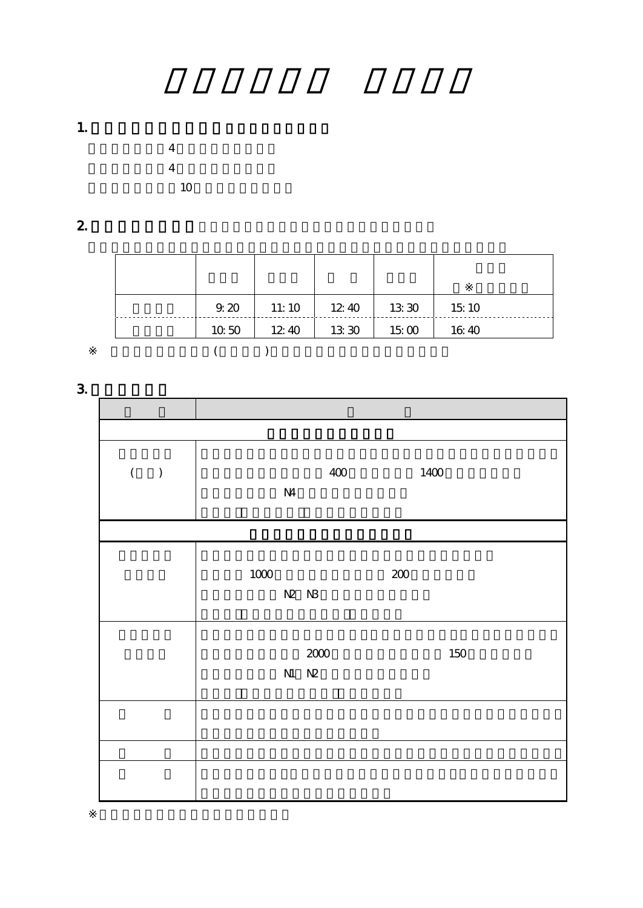1.  $\blacksquare$ 



2.  $\blacksquare$ 

| 9.20  | 11:10 | 12.40 | 13 30 | 15:10 |
|-------|-------|-------|-------|-------|
| 10,50 | 12.40 | 13 30 | 1500  | 16:40 |
|       |       |       |       |       |

**3.** 

| $\overline{(\ }$<br>$\overline{\phantom{a}}$ | $\mathbf{M}$ | 400               | 1400    |
|----------------------------------------------|--------------|-------------------|---------|
|                                              |              |                   |         |
|                                              | $1000\,$     | N2 N3             | $200\,$ |
|                                              |              | 2000<br>$N1$ $N2$ | 150     |
|                                              |              |                   |         |
|                                              |              |                   |         |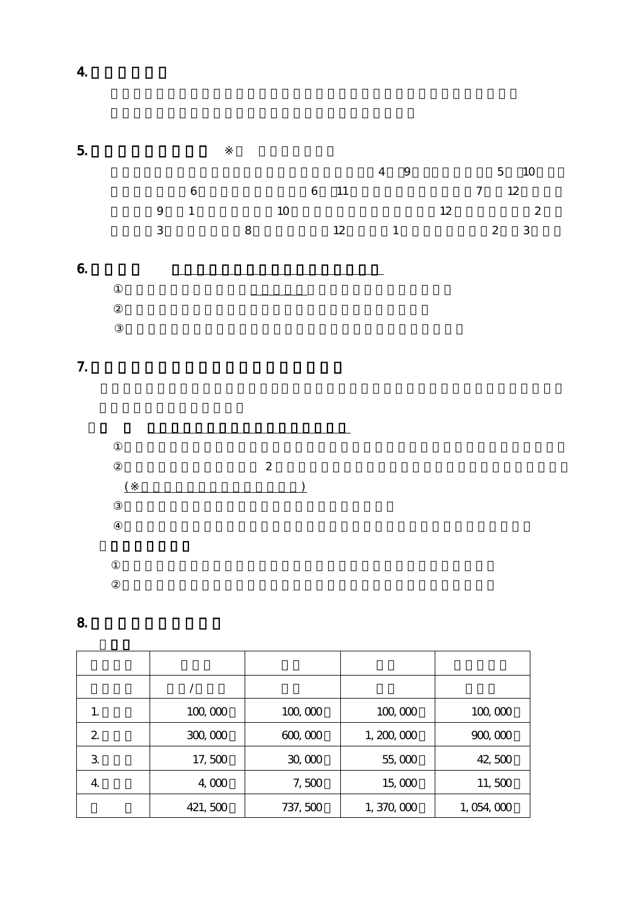$5.$ 入学式 クラス編成試験 入学オリエンテーション 4 9 健康診断 5 10  $\begin{array}{cccccccc}\n6 & & & 6 & 11 & & & 7 & 12 \\
1 & & & 10 & & & 12 & 2 \\
8 & & & 12 & & 1 & & 2 & 3\n\end{array}$ 9 1 10 12 卒業式 3 夏休 8 冬休 12 月中旬 1 月初旬 春休 2 3  $6.$ 正規 学校教育における12年以上 課程 修了していること  $7.$ 

在日外国人 場合 広島 2 年以上在職しているか 定住 永住等 資格があること  $\frac{1}{2}$ 

8. with the set of  $\mathbf{S}$ .

| 1.           | 100,000 | 100,000  | 100,000     | 100,000   |
|--------------|---------|----------|-------------|-----------|
| 2            | 300,000 | 600,000  | 1, 200, 000 | 900,000   |
| $\mathbf{3}$ | 17,500  | 30,000   | 55,000      | 42,500    |
| 4.           | 4,000   | 7,500    | 15,000      | 11,500    |
|              | 421,500 | 737, 500 | 1,370,000   | 1,054,000 |

4.授業の進め方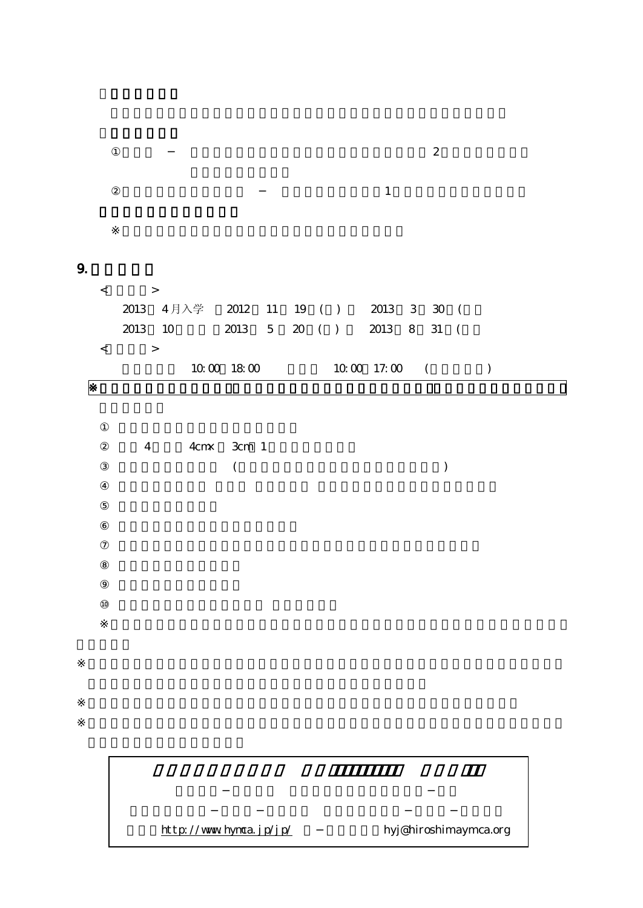| $\,<\,$ | $\geq$                               |                          |  |               |  |  |
|---------|--------------------------------------|--------------------------|--|---------------|--|--|
|         | 2013 4月入学 2012 11 19 ( ) 2013 3 30 ( |                          |  |               |  |  |
|         | 2013 10                              | 2013 5 20 () 2013 8 31 ( |  |               |  |  |
| $\,<\,$ | $\geq$                               |                          |  |               |  |  |
|         |                                      | 10001800                 |  | $100017:00$ ( |  |  |
|         |                                      |                          |  |               |  |  |

 $\sim$  2

 $\mathbf 1$ 

4 4cm 3cm 1  $($ 

 ${\bf \underline{http://www.hynca.jp/jp/\hskip.1cm}$ hyj@hiroshimaymca.org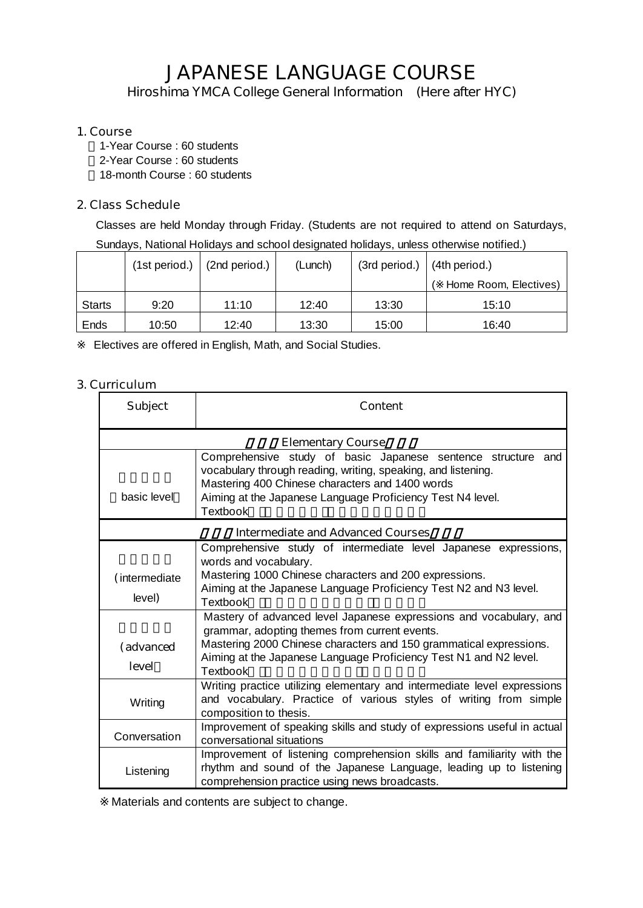# **JAPANESE LANGUAGE COURSE**

*Hiroshima YMCA College General Information (Here after HYC)*

## **1. Course**

 1-Year Course : 60 students 2-Year Course : 60 students 18-month Course : 60 students

## **2. Class Schedule**

Classes are held Monday through Friday. (Students are not required to attend on Saturdays, Sundays, National Holidays and school designated holidays, unless otherwise notified.)

|               |       | $(1st period.)$ $(2nd period.)$ | (Lunch) | $(3rd period.)$ $(4th period.)$ |                       |
|---------------|-------|---------------------------------|---------|---------------------------------|-----------------------|
|               |       |                                 |         |                                 | Home Room, Electives) |
| <b>Starts</b> | 9:20  | 11:10                           | 12:40   | 13:30                           | 15:10                 |
| Ends          | 10:50 | 12:40                           | 13:30   | 15:00                           | 16:40                 |

Electives are offered in English, Math, and Social Studies.

## **3. Curriculum**

| <b>Subject</b>                           | <b>Content</b>                                                                                                                                                                                                                                                             |  |  |  |  |  |
|------------------------------------------|----------------------------------------------------------------------------------------------------------------------------------------------------------------------------------------------------------------------------------------------------------------------------|--|--|--|--|--|
|                                          | <b>Elementary Course</b>                                                                                                                                                                                                                                                   |  |  |  |  |  |
| basic level                              | Comprehensive study of basic Japanese sentence structure<br>and<br>vocabulary through reading, writing, speaking, and listening.<br>Mastering 400 Chinese characters and 1400 words<br>Aiming at the Japanese Language Proficiency Test N4 level.<br>Textbook              |  |  |  |  |  |
| <b>Intermediate and Advanced Courses</b> |                                                                                                                                                                                                                                                                            |  |  |  |  |  |
| (intermediate<br>level)                  | Comprehensive study of intermediate level Japanese expressions,<br>words and vocabulary.<br>Mastering 1000 Chinese characters and 200 expressions.<br>Aiming at the Japanese Language Proficiency Test N2 and N3 level.<br>Textbook                                        |  |  |  |  |  |
| (advanced<br>level                       | Mastery of advanced level Japanese expressions and vocabulary, and<br>grammar, adopting themes from current events.<br>Mastering 2000 Chinese characters and 150 grammatical expressions.<br>Aiming at the Japanese Language Proficiency Test N1 and N2 level.<br>Textbook |  |  |  |  |  |
| Writing                                  | Writing practice utilizing elementary and intermediate level expressions<br>and vocabulary. Practice of various styles of writing from simple<br>composition to thesis.                                                                                                    |  |  |  |  |  |
| Conversation                             | Improvement of speaking skills and study of expressions useful in actual<br>conversational situations                                                                                                                                                                      |  |  |  |  |  |
| Listening                                | Improvement of listening comprehension skills and familiarity with the<br>rhythm and sound of the Japanese Language, leading up to listening<br>comprehension practice using news broadcasts.                                                                              |  |  |  |  |  |

Materials and contents are subject to change.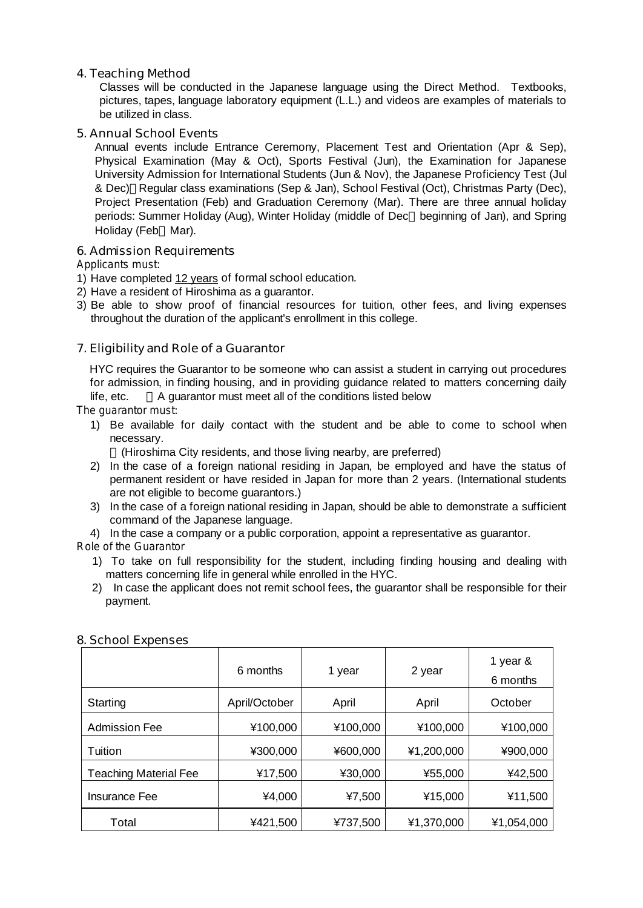## **4. Teaching Method**

Classes will be conducted in the Japanese language using the Direct Method. Textbooks, pictures, tapes, language laboratory equipment (L.L.) and videos are examples of materials to be utilized in class.

#### **5. Annual School Events**

Annual events include Entrance Ceremony, Placement Test and Orientation (Apr & Sep), Physical Examination (May & Oct), Sports Festival (Jun), the Examination for Japanese University Admission for International Students (Jun & Nov), the Japanese Proficiency Test (Jul & Dec) Regular class examinations (Sep & Jan), School Festival (Oct), Christmas Party (Dec), Project Presentation (Feb) and Graduation Ceremony (Mar). There are three annual holiday periods: Summer Holiday (Aug), Winter Holiday (middle of Dec beginning of Jan), and Spring Holiday (Feb Mar).

#### **6. Admission Requirements**

*Applicants must:*

- 1) Have completed 12 years of formal school education.
- 2) Have a resident of Hiroshima as a guarantor.
- 3) Be able to show proof of financial resources for tuition, other fees, and living expenses throughout the duration of the applicant's enrollment in this college.

## **7. Eligibility and Role of a Guarantor**

HYC requires the Guarantor to be someone who can assist a student in carrying out procedures for admission, in finding housing, and in providing guidance related to matters concerning daily life, etc. A guarantor must meet all of the conditions listed below

*The guarantor must:*

1) Be available for daily contact with the student and be able to come to school when necessary.

(Hiroshima City residents, and those living nearby, are preferred)

- 2) In the case of a foreign national residing in Japan, be employed and have the status of permanent resident or have resided in Japan for more than 2 years. (International students are not eligible to become guarantors.)
- 3) In the case of a foreign national residing in Japan, should be able to demonstrate a sufficient command of the Japanese language.
- 4) In the case a company or a public corporation, appoint a representative as guarantor.

*Role of the Guarantor*

- 1) To take on full responsibility for the student, including finding housing and dealing with matters concerning life in general while enrolled in the HYC.
- 2) In case the applicant does not remit school fees, the guarantor shall be responsible for their payment.

|                              | 6 months      | 1 year   | 2 year     | 1 year &<br>6 months |
|------------------------------|---------------|----------|------------|----------------------|
| Starting                     | April/October | April    | April      | October              |
| <b>Admission Fee</b>         | ¥100,000      | ¥100,000 | ¥100,000   | ¥100,000             |
| Tuition                      | ¥300,000      | ¥600,000 | ¥1,200,000 | ¥900,000             |
| <b>Teaching Material Fee</b> | ¥17,500       | ¥30,000  | ¥55,000    | ¥42,500              |
| <b>Insurance Fee</b>         | ¥4,000        | ¥7,500   | ¥15,000    | ¥11,500              |
| Total                        | ¥421,500      | ¥737,500 | ¥1,370,000 | ¥1,054,000           |

#### **8. School Expenses**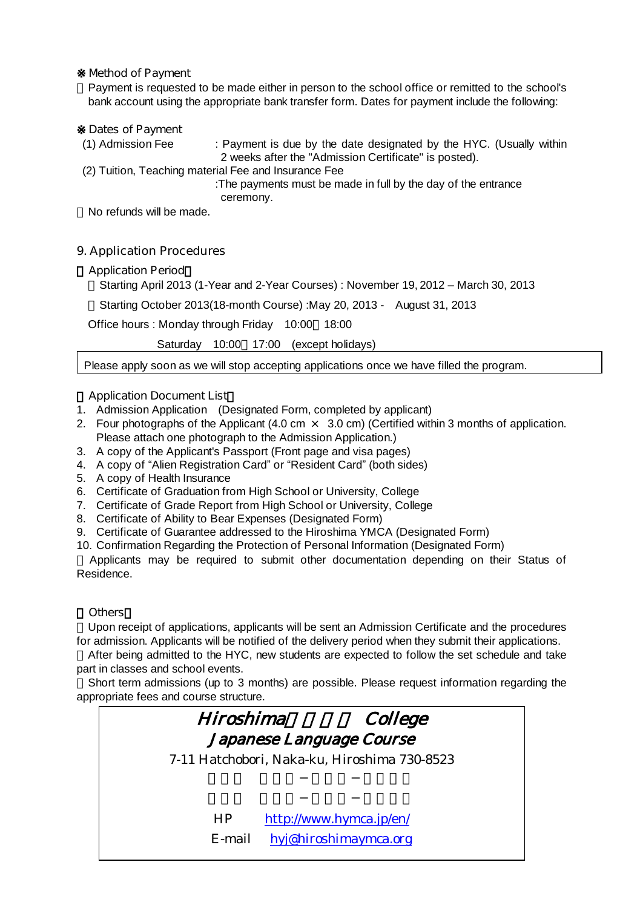#### ※**Method of Payment**

Payment is requested to be made either in person to the school office or remitted to the school's bank account using the appropriate bank transfer form. Dates for payment include the following:

## **Dates of Payment**

- (1) Admission Fee : Payment is due by the date designated by the HYC. (Usually within 2 weeks after the "Admission Certificate" is posted).
- (2) Tuition, Teaching material Fee and Insurance Fee

:The payments must be made in full by the day of the entrance ceremony.

No refunds will be made.

## **9. Application Procedures**

## **Application Period**

Starting April 2013 (1-Year and 2-Year Courses) : November 19, 2012 – March 30, 2013

Starting October 2013(18-month Course) :May 20, 2013 - August 31, 2013

Office hours : Monday through Friday 10:00 18:00

Saturday 10:00 17:00 (except holidays)

Please apply soon as we will stop accepting applications once we have filled the program.

#### **Application Document List**

- 1. Admission Application (Designated Form, completed by applicant)
- 2. Four photographs of the Applicant (4.0 cm  $\times$  3.0 cm) (Certified within 3 months of application. Please attach one photograph to the Admission Application.)
- 3. A copy of the Applicant's Passport (Front page and visa pages)
- 4. A copy of "Alien Registration Card"or "Resident Card"(both sides)
- 5. A copy of Health Insurance
- 6. Certificate of Graduation from High School or University, College
- 7. Certificate of Grade Report from High School or University, College
- 8. Certificate of Ability to Bear Expenses (Designated Form)
- 9. Certificate of Guarantee addressed to the Hiroshima YMCA (Designated Form)
- 10. Confirmation Regarding the Protection of Personal Information (Designated Form)

Applicants may be required to submit other documentation depending on their Status of Residence.

#### 《**Others**》

Upon receipt of applications, applicants will be sent an Admission Certificate and the procedures for admission. Applicants will be notified of the delivery period when they submit their applications.

After being admitted to the HYC, new students are expected to follow the set schedule and take part in classes and school events.

Short term admissions (up to 3 months) are possible. Please request information regarding the appropriate fees and course structure.

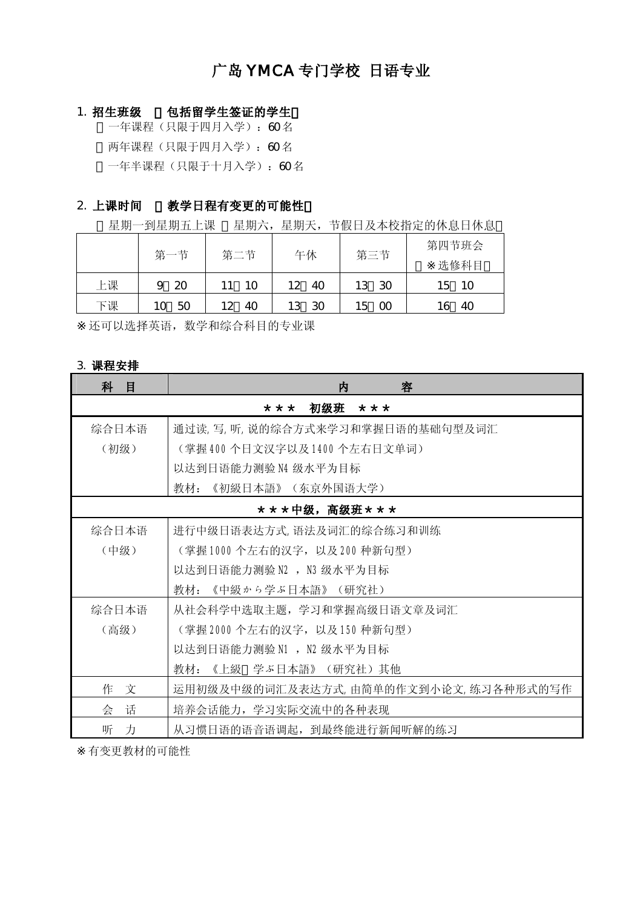## 广岛 YMCA 专门学校 日语专业

#### 1. 招生班级 包括留学生签证的学生

一年课程(只限于四月入学): 60名 两年课程(只限于四月入学):60 名 一年半课程(只限于十月入学): 60名

## 2. 上课时间 教学日程有变更的可能性

星期一到星期五上课 星期六,星期天,节假日及本校指定的休息日休息

|    |     | 第二节      | 午休        | 第三节        | 第四节班会       |  |
|----|-----|----------|-----------|------------|-------------|--|
|    | 第一节 |          |           |            | 选修科目        |  |
| 上课 | 20  |          | 40<br>12  | - 30<br>13 | - 10<br>l 5 |  |
| 下课 | 50  | 40<br>l2 | -30<br>13 | 00<br>15   | 40          |  |

还可以选择英语,数学和综合科目的专业课

### 3. 课程安排

| 科<br>目 | 容<br>内                               |  |  |  |  |  |  |  |
|--------|--------------------------------------|--|--|--|--|--|--|--|
|        | 初级班<br>* * *<br>* * *                |  |  |  |  |  |  |  |
| 综合日本语  | 通过读,写,听,说的综合方式来学习和掌握日语的基础句型及词汇       |  |  |  |  |  |  |  |
| (初级)   | (掌握 400个日文汉字以及 1400个左右日文单词)          |  |  |  |  |  |  |  |
|        | 以达到日语能力测验 N4 级水平为目标                  |  |  |  |  |  |  |  |
|        | 教材: 《初級日本語》(东京外国语大学)                 |  |  |  |  |  |  |  |
|        | ***中级,高级班***                         |  |  |  |  |  |  |  |
| 综合日本语  | 进行中级日语表达方式, 语法及词汇的综合练习和训练            |  |  |  |  |  |  |  |
| (中级)   | (掌握1000个左右的汉字, 以及200种新句型)            |  |  |  |  |  |  |  |
|        | 以达到日语能力测验 N2 , N3 级水平为目标             |  |  |  |  |  |  |  |
|        | 教材:《中級から学ぶ日本語》(研究社)                  |  |  |  |  |  |  |  |
| 综合日本语  | 从社会科学中选取主题, 学习和掌握高级日语文章及词汇           |  |  |  |  |  |  |  |
| (高级)   | (掌握2000个左右的汉字,以及150种新句型)             |  |  |  |  |  |  |  |
|        | 以达到日语能力测验 N1 , N2 级水平为目标             |  |  |  |  |  |  |  |
|        | 教材: 《上級 学ぶ日本語》 (研究社) 其他              |  |  |  |  |  |  |  |
| 作 文    | 运用初级及中级的词汇及表达方式,由简单的作文到小论文,练习各种形式的写作 |  |  |  |  |  |  |  |
| 话<br>会 | 培养会话能力, 学习实际交流中的各种表现                 |  |  |  |  |  |  |  |
| 听<br>力 | 从习惯日语的语音语调起, 到最终能进行新闻听解的练习           |  |  |  |  |  |  |  |

有变更教材的可能性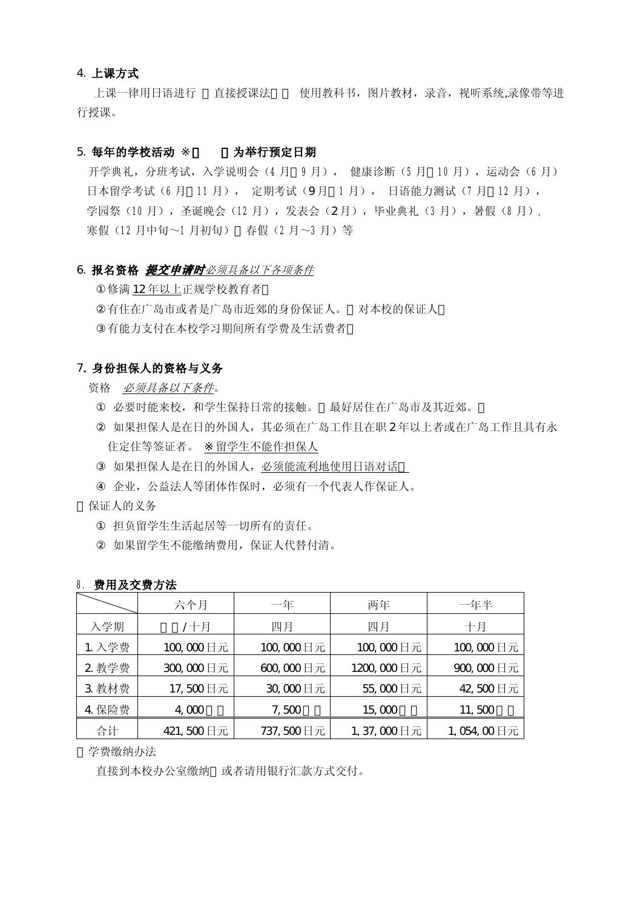#### 4. 上课方式

 上课一律用日语进行 直接授课法 使用教科书,图片教材,录音,视听系统,录像带等进 行授课。

#### 5. 每年的学校活动 为举行预定日期

开学典礼,分班考试,入学说明会(4 月 9 月), 健康诊断(5 月 10 月),运动会(6 月) 日本留学考试(6月 11月), 定期考试(9月 1月), 日语能力测试(7月 12月), 学园祭(10月),圣诞晚会(12月),发表会(2月),毕业典礼(3月),暑假(8月), 寒假(12 月中旬~1 月初旬) 春假(2 月~3 月)等

#### 6. 报名资格 提交申请时必须具备以下各项条件

修满 12 年以上正规学校教育者 有住在广岛市或者是广岛市近郊的身份保证人。 对本校的保证人 有能力支付在本校学习期间所有学费及生活费者

#### 7. 身份担保人的资格与义务

资格 必须具备以下条件。

必要时能来校,和学生保持日常的接触。 最好居住在广岛市及其近郊。 如果担保人是在日的外国人,其必须在广岛工作且在职 2 年以上者或在广岛工作且具有永 住定住等签证者。 留学生不能作担保人

如果担保人是在日的外国人, 必须能流利地使用日语对话

企业,公益法人等团体作保时,必须有一个代表人作保证人。

保证人的义务

担负留学生生活起居等一切所有的责任。 如果留学生不能缴纳费用,保证人代替付清。

|        | 六个月       | 一年        | 两年         | 一年半        |  |
|--------|-----------|-----------|------------|------------|--|
| 入学期    | /十月       | 四月        | 四月         | 十月         |  |
| 1. 入学费 | 100,000日元 | 100,000日元 | 100,000日元  | 100,000日元  |  |
| 2 教学费  | 300,000日元 | 600,000日元 | 1200,000日元 | 900,000日元  |  |
| 3 教材费  | 17,500日元  | 30,000日元  | 55,000日元   | 42,500日元   |  |
| 4 保险费  | 4,000     | 7,500     | 15,000     | 11,500     |  |
| 合计     | 421,500日元 | 737,500日元 | 1,37,000日元 | 1,054,00日元 |  |

| 8. 费用及交费方法 |
|------------|
|            |

学费缴纳办法

直接到本校办公室缴纳 或者请用银行汇款方式交付。